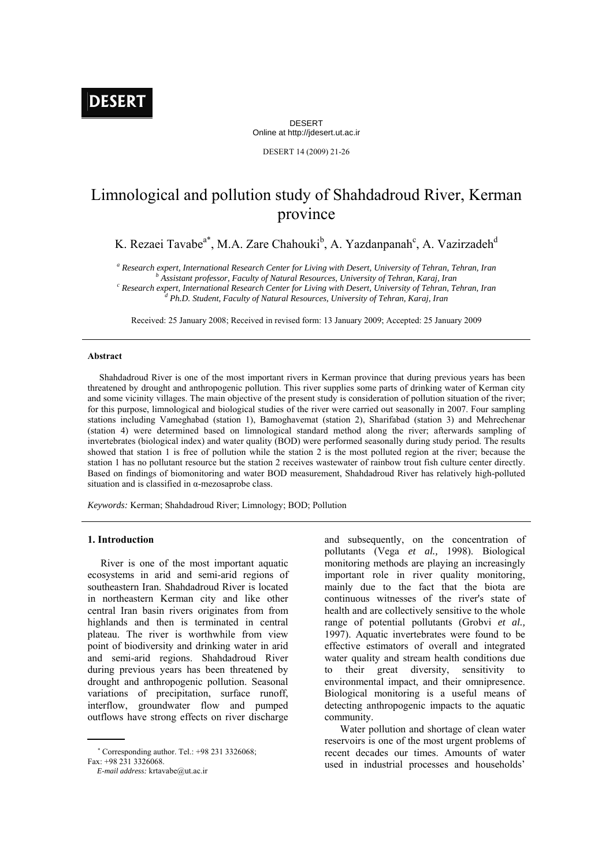DESERT Online at http://jdesert.ut.ac.ir

DESERT 14 (2009) 21-26

# Limnological and pollution study of Shahdadroud River, Kerman province

K. Rezaei Tavabe<sup>a\*</sup>, M.A. Zare Chahouki<sup>b</sup>, A. Yazdanpanah<sup>c</sup>, A. Vazirzadeh<sup>d</sup>

<sup>a</sup> Research expert, International Research Center for Living with Desert, University of Tehran, Tehran, Iran b<br>b Assistant professor, Faculty of Natural Besources, University of Tehran, Karai, Iran

 *Assistant professor, Faculty of Natural Resources, University of Tehran, Karaj, Iran c*

 *Research expert, International Research Center for Living with Desert, University of Tehran, Tehran, Iran d Ph.D. Student, Faculty of Natural Resources, University of Tehran, Karaj, Iran* 

Received: 25 January 2008; Received in revised form: 13 January 2009; Accepted: 25 January 2009

## **Abstract**

 Shahdadroud River is one of the most important rivers in Kerman province that during previous years has been threatened by drought and anthropogenic pollution. This river supplies some parts of drinking water of Kerman city and some vicinity villages. The main objective of the present study is consideration of pollution situation of the river; for this purpose, limnological and biological studies of the river were carried out seasonally in 2007. Four sampling stations including Vameghabad (station 1), Bamoghavemat (station 2), Sharifabad (station 3) and Mehrechenar (station 4) were determined based on limnological standard method along the river; afterwards sampling of invertebrates (biological index) and water quality (BOD) were performed seasonally during study period. The results showed that station 1 is free of pollution while the station 2 is the most polluted region at the river; because the station 1 has no pollutant resource but the station 2 receives wastewater of rainbow trout fish culture center directly. Based on findings of biomonitoring and water BOD measurement, Shahdadroud River has relatively high-polluted situation and is classified in α-mezosaprobe class.

*Keywords:* Kerman; Shahdadroud River; Limnology; BOD; Pollution

## **1. Introduction**

 River is one of the most important aquatic ecosystems in arid and semi-arid regions of southeastern Iran. Shahdadroud River is located in northeastern Kerman city and like other central Iran basin rivers originates from from highlands and then is terminated in central plateau. The river is worthwhile from view point of biodiversity and drinking water in arid and semi-arid regions. Shahdadroud River during previous years has been threatened by drought and anthropogenic pollution. Seasonal variations of precipitation, surface runoff, interflow, groundwater flow and pumped outflows have strong effects on river discharge

and subsequently, on the concentration of pollutants (Vega *et al.,* 1998). Biological monitoring methods are playing an increasingly important role in river quality monitoring. mainly due to the fact that the biota are continuous witnesses of the river's state of health and are collectively sensitive to the whole range of potential pollutants (Grobvi *et al.,* 1997). Aquatic invertebrates were found to be effective estimators of overall and integrated water quality and stream health conditions due to their great diversity, sensitivity to environmental impact, and their omnipresence. Biological monitoring is a useful means of detecting anthropogenic impacts to the aquatic community.

 Water pollution and shortage of clean water reservoirs is one of the most urgent problems of recent decades our times. Amounts of water used in industrial processes and households'

 Corresponding author. Tel.: +98 231 3326068; Fax: +98 231 3326068.

*E-mail address:* krtavabe@ut.ac.ir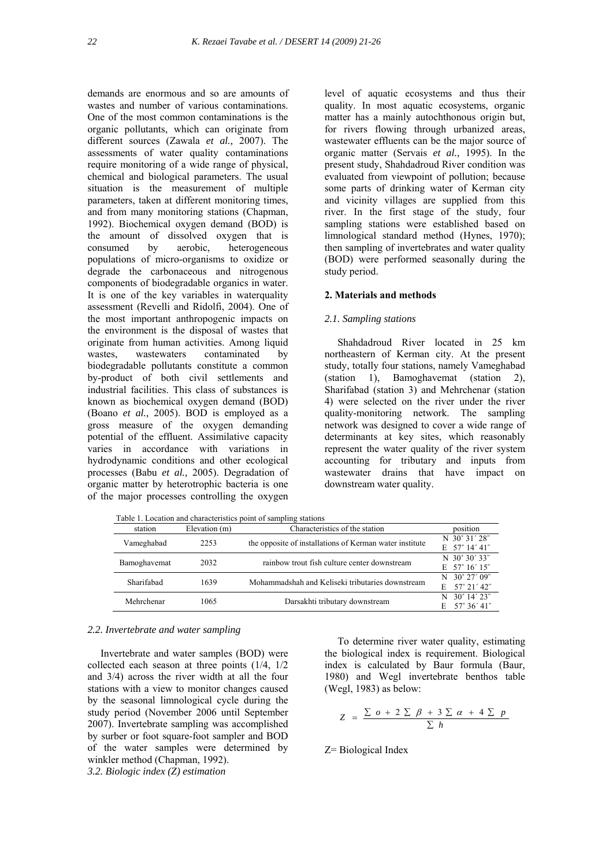demands are enormous and so are amounts of wastes and number of various contaminations. One of the most common contaminations is the organic pollutants, which can originate from different sources (Zawala *et al.,* 2007). The assessments of water quality contaminations require monitoring of a wide range of physical, chemical and biological parameters. The usual situation is the measurement of multiple parameters, taken at different monitoring times, and from many monitoring stations (Chapman, 1992). Biochemical oxygen demand (BOD) is the amount of dissolved oxygen that is consumed by aerobic, heterogeneous populations of micro-organisms to oxidize or degrade the carbonaceous and nitrogenous components of biodegradable organics in water. It is one of the key variables in waterquality assessment (Revelli and Ridolfi, 2004). One of the most important anthropogenic impacts on the environment is the disposal of wastes that originate from human activities. Among liquid wastes, wastewaters contaminated by biodegradable pollutants constitute a common by-product of both civil settlements and industrial facilities. This class of substances is known as biochemical oxygen demand (BOD) (Boano *et al.,* 2005). BOD is employed as a gross measure of the oxygen demanding potential of the effluent. Assimilative capacity varies in accordance with variations in hydrodynamic conditions and other ecological processes (Babu *et al.,* 2005). Degradation of organic matter by heterotrophic bacteria is one of the major processes controlling the oxygen

level of aquatic ecosystems and thus their quality. In most aquatic ecosystems, organic matter has a mainly autochthonous origin but, for rivers flowing through urbanized areas, wastewater effluents can be the major source of organic matter (Servais *et al.,* 1995). In the present study, Shahdadroud River condition was evaluated from viewpoint of pollution; because some parts of drinking water of Kerman city and vicinity villages are supplied from this river. In the first stage of the study, four sampling stations were established based on limnological standard method (Hynes, 1970); then sampling of invertebrates and water quality (BOD) were performed seasonally during the study period.

## **2. Materials and methods**

## *2.1. Sampling stations*

 Shahdadroud River located in 25 km northeastern of Kerman city. At the present study, totally four stations, namely Vameghabad (station 1), Bamoghavemat (station 2), Sharifabad (station 3) and Mehrchenar (station 4) were selected on the river under the river quality-monitoring network. The sampling network was designed to cover a wide range of determinants at key sites, which reasonably represent the water quality of the river system accounting for tributary and inputs from wastewater drains that have impact on downstream water quality.

Table 1. Location and characteristics point of sampling stations

| station      | Elevation (m) | Characteristics of the station                          | position                    |
|--------------|---------------|---------------------------------------------------------|-----------------------------|
| Vameghabad   | 2253          | the opposite of installations of Kerman water institute | N 30° 31′ 28″               |
|              |               |                                                         | $E$ 57° 14′ 41″             |
| Bamoghavemat | 2032          | rainbow trout fish culture center downstream            | N 30° 30′ 33″               |
|              |               |                                                         | $E$ 57° 16′ 15″             |
| Sharifabad   | 1639          | Mohammadshah and Keliseki tributaries downstream        | $N$ 30° 27′ 09″             |
|              |               |                                                         | $57^{\circ}$ 21' 42"<br>E.  |
| Mehrchenar   |               |                                                         | $30^{\circ}$ 14' 23"<br>N   |
|              | 1065          | Darsakhti tributary downstream                          | $57^{\circ} 36' 41''$<br>E. |

#### *2.2. Invertebrate and water sampling*

 Invertebrate and water samples (BOD) were collected each season at three points (1/4, 1/2 and 3/4) across the river width at all the four stations with a view to monitor changes caused by the seasonal limnological cycle during the study period (November 2006 until September 2007). Invertebrate sampling was accomplished by surber or foot square-foot sampler and BOD of the water samples were determined by winkler method (Chapman, 1992). *3.2. Biologic index (Z) estimation* 

 To determine river water quality, estimating the biological index is requirement. Biological index is calculated by Baur formula (Baur, 1980) and Wegl invertebrate benthos table (Wegl, 1983) as below:

$$
Z = \frac{\sum o + 2 \sum \beta + 3 \sum \alpha + 4 \sum p}{\sum h}
$$

Z= Biological Index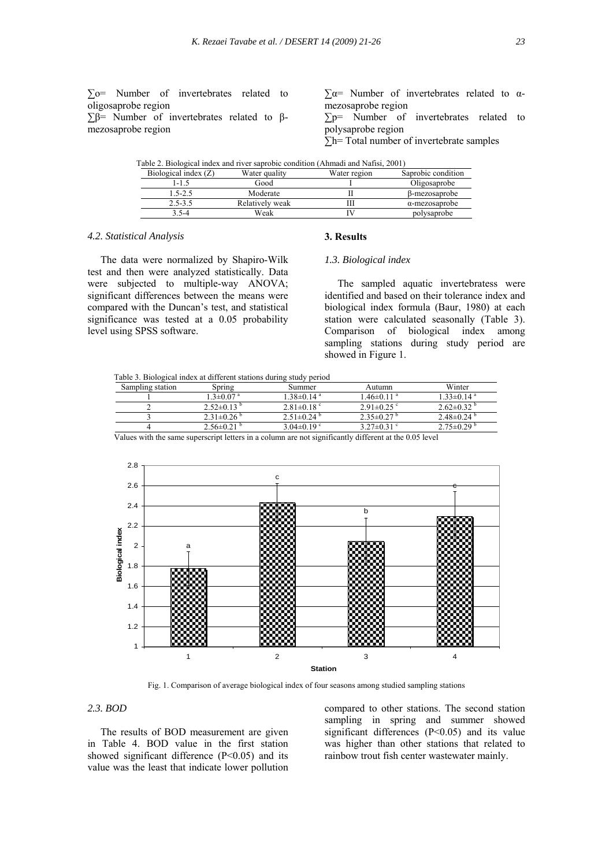∑o= Number of invertebrates related to oligosaprobe region

 $\Sigma$ β= Number of invertebrates related to βmezosaprobe region

 $\Sigma \alpha$ = Number of invertebrates related to  $\alpha$ mezosaprobe region

∑p= Number of invertebrates related to polysaprobe region

**∑**h= Total number of invertebrate samples

| Table 2. Biological index and river saprobic condition (Ahmadi and Nafisi, 2001) |                 |              |                       |
|----------------------------------------------------------------------------------|-----------------|--------------|-----------------------|
| Biological index $(Z)$                                                           | Water quality   | Water region | Saprobic condition    |
| l-1.5                                                                            | Good            |              | Oligosaprobe          |
| $1.5 - 2.5$                                                                      | Moderate        |              | β-mezosaprobe         |
| $2.5 - 3.5$                                                                      | Relatively weak |              | $\alpha$ -mezosaprobe |
| $3.5 - 4$                                                                        | Weak            |              | polysaprobe           |

## *4.2. Statistical Analysis*

level using SPSS software.

**3. Results** 

# The data were normalized by Shapiro-Wilk test and then were analyzed statistically. Data were subjected to multiple-way ANOVA; significant differences between the means were compared with the Duncan's test, and statistical significance was tested at a 0.05 probability

# *1.3. Biological index*

 The sampled aquatic invertebratess were identified and based on their tolerance index and biological index formula (Baur, 1980) at each station were calculated seasonally (Table 3). Comparison of biological index among sampling stations during study period are showed in Figure 1.

Table 3. Biological index at different stations during study period

| Sampling station | Spring                      | Summer                       | Autumn                       | Winter                       |
|------------------|-----------------------------|------------------------------|------------------------------|------------------------------|
|                  | $1.3 \pm 0.07$ <sup>a</sup> | $1.38 \pm 0.14$ <sup>a</sup> | $1.46 \pm 0.11$ <sup>a</sup> | $1.33 \pm 0.14$ <sup>a</sup> |
|                  | $2.52\pm0.13$ $\degree$     | $2.81 \pm 0.18$ °            | $2.91 \pm 0.25$ °            | $2.62 \pm 0.32$ <sup>6</sup> |
|                  | $2.31\pm0.26$ <sup>b</sup>  | $2.51 \pm 0.24$ <sup>b</sup> | $2.35\pm0.27$ <sup>b</sup>   | $2.48\pm0.24$ <sup>b</sup>   |
|                  | $2.56\pm0.21$ <sup>b</sup>  | 3.04 $\pm$ 0.19 $\degree$    | $3.27\pm0.31$ °              | $2.75 \pm 0.29$ <sup>b</sup> |

Values with the same superscript letters in a column are not significantly different at the 0.05 level



Fig. 1. Comparison of average biological index of four seasons among studied sampling stations

# *2.3. BOD*

 The results of BOD measurement are given in Table 4. BOD value in the first station showed significant difference  $(P<0.05)$  and its value was the least that indicate lower pollution compared to other stations. The second station sampling in spring and summer showed significant differences  $(P<0.05)$  and its value was higher than other stations that related to rainbow trout fish center wastewater mainly.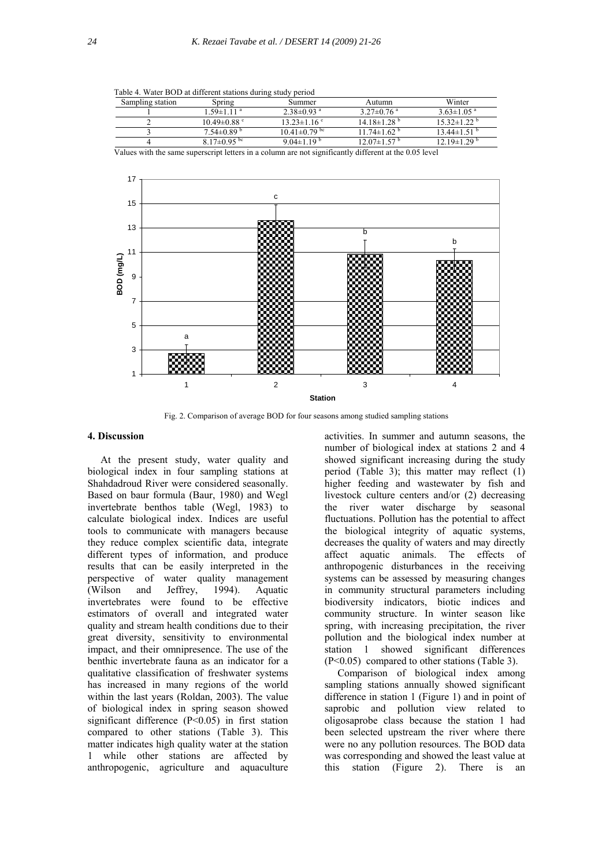| Table 4. Water BOD at different stations during study period |  |
|--------------------------------------------------------------|--|
|--------------------------------------------------------------|--|

| Sampling station | Spring                       | Summer                         | Autumn                        | Winter                        |
|------------------|------------------------------|--------------------------------|-------------------------------|-------------------------------|
|                  | $1.59 \pm 1.11$ <sup>a</sup> | $2.38\pm0.93$ <sup>a</sup>     | $3.27 \pm 0.76$ <sup>a</sup>  | $3.63 \pm 1.05$ <sup>a</sup>  |
|                  | $10.49 \pm 0.88$ °           | $13.23 \pm 1.16$ °             | $14.18 \pm 1.28$ <sup>b</sup> | $15.32 \pm 1.22$ <sup>b</sup> |
|                  | $7.54\pm0.89$ <sup>b</sup>   | $10.41 \pm 0.79$ <sup>bc</sup> | $11.74 \pm 1.62$ <sup>b</sup> | $13.44 \pm 1.51$ <sup>b</sup> |
|                  | 8.17 $\pm$ 0.95 bc           | 9.04 $\pm$ 1.19 <sup>b</sup>   | $12.07\pm1.57$ <sup>b</sup>   | $12.19 \pm 1.29$ <sup>b</sup> |

Values with the same superscript letters in a column are not significantly different at the 0.05 level



Fig. 2. Comparison of average BOD for four seasons among studied sampling stations

# **4. Discussion**

 At the present study, water quality and biological index in four sampling stations at Shahdadroud River were considered seasonally. Based on baur formula (Baur, 1980) and Wegl invertebrate benthos table (Wegl, 1983) to calculate biological index. Indices are useful tools to communicate with managers because they reduce complex scientific data, integrate different types of information, and produce results that can be easily interpreted in the perspective of water quality management (Wilson and Jeffrey, 1994). Aquatic invertebrates were found to be effective estimators of overall and integrated water quality and stream health conditions due to their great diversity, sensitivity to environmental impact, and their omnipresence. The use of the benthic invertebrate fauna as an indicator for a qualitative classification of freshwater systems has increased in many regions of the world within the last years (Roldan, 2003). The value of biological index in spring season showed significant difference (P<0.05) in first station compared to other stations (Table 3). This matter indicates high quality water at the station 1 while other stations are affected by anthropogenic, agriculture and aquaculture

activities. In summer and autumn seasons, the number of biological index at stations 2 and 4 showed significant increasing during the study period (Table 3); this matter may reflect (1) higher feeding and wastewater by fish and livestock culture centers and/or (2) decreasing the river water discharge by seasonal fluctuations. Pollution has the potential to affect the biological integrity of aquatic systems, decreases the quality of waters and may directly affect aquatic animals. The effects of anthropogenic disturbances in the receiving systems can be assessed by measuring changes in community structural parameters including biodiversity indicators, biotic indices and community structure. In winter season like spring, with increasing precipitation, the river pollution and the biological index number at station 1 showed significant differences (P<0.05) compared to other stations (Table 3).

 Comparison of biological index among sampling stations annually showed significant difference in station 1 (Figure 1) and in point of saprobic and pollution view related to oligosaprobe class because the station 1 had been selected upstream the river where there were no any pollution resources. The BOD data was corresponding and showed the least value at this station (Figure 2). There is an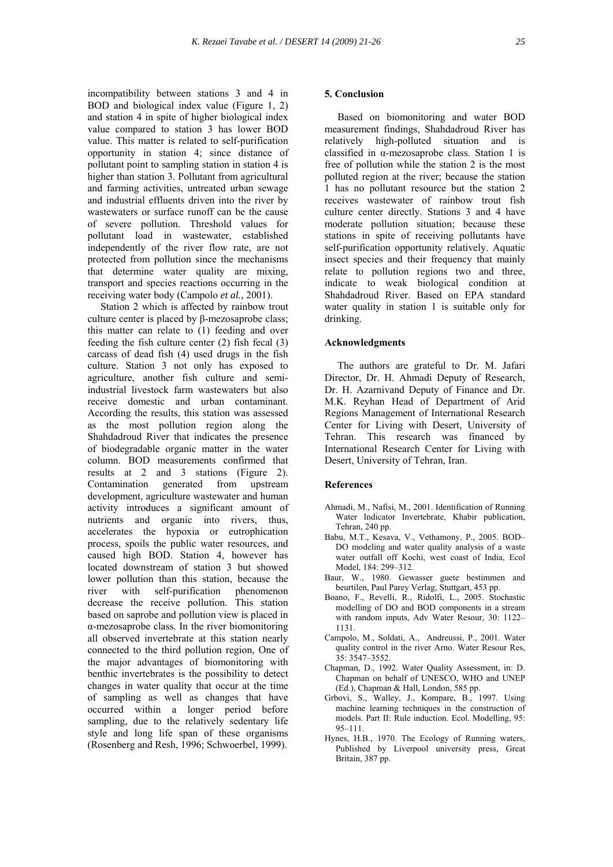incompatibility between stations 3 and 4 in BOD and biological index value (Figure 1, 2) and station 4 in spite of higher biological index value compared to station 3 has lower BOD value. This matter is related to self-purification opportunity in station 4; since distance of pollutant point to sampling station in station 4 is higher than station 3. Pollutant from agricultural and farming activities, untreated urban sewage and industrial effluents driven into the river by wastewaters or surface runoff can be the cause of severe pollution. Threshold values for pollutant load in wastewater, established independently of the river flow rate, are not protected from pollution since the mechanisms that determine water quality are mixing, transport and species reactions occurring in the receiving water body (Campolo *et al.,* 2001).

 Station 2 which is affected by rainbow trout culture center is placed by β-mezosaprobe class; this matter can relate to (1) feeding and over feeding the fish culture center (2) fish fecal (3) carcass of dead fish (4) used drugs in the fish culture. Station 3 not only has exposed to agriculture, another fish culture and semiindustrial livestock farm wastewaters but also receive domestic and urban contaminant. According the results, this station was assessed as the most pollution region along the Shahdadroud River that indicates the presence of biodegradable organic matter in the water column. BOD measurements confirmed that results at 2 and 3 stations (Figure 2). Contamination generated from upstream development, agriculture wastewater and human activity introduces a significant amount of nutrients and organic into rivers, thus, accelerates the hypoxia or eutrophication process, spoils the public water resources, and caused high BOD. Station 4, however has located downstream of station 3 but showed lower pollution than this station, because the river with self-purification phenomenon decrease the receive pollution. This station based on saprobe and pollution view is placed in α-mezosaprobe class. In the river biomonitoring all observed invertebrate at this station nearly connected to the third pollution region, One of the major advantages of biomonitoring with benthic invertebrates is the possibility to detect changes in water quality that occur at the time of sampling as well as changes that have occurred within a longer period before sampling, due to the relatively sedentary life style and long life span of these organisms (Rosenberg and Resh, 1996; Schwoerbel, 1999).

## **5. Conclusion**

 Based on biomonitoring and water BOD measurement findings, Shahdadroud River has relatively high-polluted situation and is classified in α-mezosaprobe class. Station 1 is free of pollution while the station 2 is the most polluted region at the river; because the station 1 has no pollutant resource but the station 2 receives wastewater of rainbow trout fish culture center directly. Stations 3 and 4 have moderate pollution situation; because these stations in spite of receiving pollutants have self-purification opportunity relatively. Aquatic insect species and their frequency that mainly relate to pollution regions two and three, indicate to weak biological condition at Shahdadroud River. Based on EPA standard water quality in station 1 is suitable only for drinking.

## **Acknowledgments**

 The authors are grateful to Dr. M. Jafari Director, Dr. H. Ahmadi Deputy of Research, Dr. H. Azarnivand Deputy of Finance and Dr. M.K. Reyhan Head of Department of Arid Regions Management of International Research Center for Living with Desert, University of Tehran. This research was financed by International Research Center for Living with Desert, University of Tehran, Iran.

### **References**

- Ahmadi, M., Nafisi, M., 2001. Identification of Running Water Indicator Invertebrate, Khabir publication, Tehran, 240 pp.
- Babu, M.T., Kesava, V., Vethamony, P., 2005. BOD– DO modeling and water quality analysis of a waste water outfall off Kochi, west coast of India, Ecol Model, 184: 299–312.
- Baur, W., 1980. Gewasser guete bestimmen and beurtilen, Paul Parey Verlag, Stuttgart, 453 pp.
- Boano, F., Revelli, R., Ridolfi, L., 2005. Stochastic modelling of DO and BOD components in a stream with random inputs, Adv Water Resour, 30: 1122– 1131.
- Campolo, M., Soldati, A., Andreussi, P., 2001. Water quality control in the river Arno. Water Resour Res, 35: 3547–3552.
- Chapman, D., 1992. Water Quality Assessment, in: D. Chapman on behalf of UNESCO, WHO and UNEP (Ed.), Chapman & Hall, London, 585 pp.
- Grbovi, S., Walley, J., Kompare, B., 1997. Using machine learning techniques in the construction of models. Part II: Rule induction. Ecol. Modelling, 95: 95–111.
- Hynes, H.B., 1970. The Ecology of Running waters, Published by Liverpool university press, Great Britain, 387 pp.